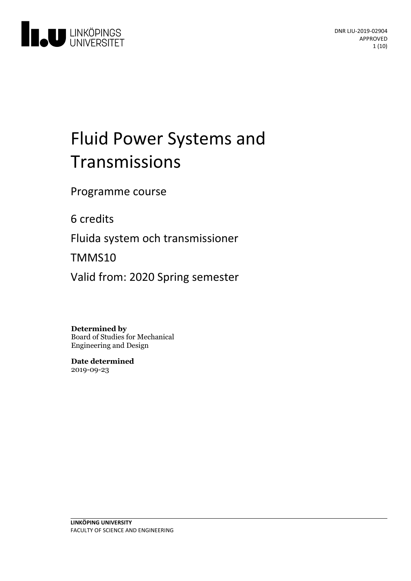

# Fluid Power Systems and Transmissions

Programme course

6 credits

Fluida system och transmissioner

TMMS10

Valid from: 2020 Spring semester

**Determined by**

Board of Studies for Mechanical Engineering and Design

**Date determined** 2019-09-23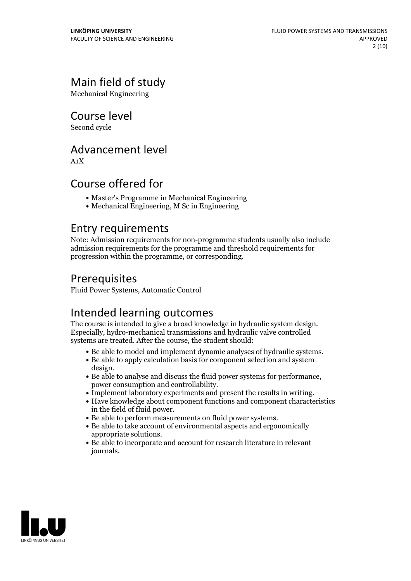## Main field of study

Mechanical Engineering

Course level

Second cycle

### Advancement level

A1X

### Course offered for

- Master's Programme in Mechanical Engineering
- Mechanical Engineering, M Sc in Engineering

### Entry requirements

Note: Admission requirements for non-programme students usually also include admission requirements for the programme and threshold requirements for progression within the programme, or corresponding.

### Prerequisites

Fluid Power Systems, Automatic Control

Intended learning outcomes<br>The course is intended to give a broad knowledge in hydraulic system design. Especially, hydro-mechanical transmissions and hydraulic valve controlled systems are treated. After the course, the student should:

- Be able to model and implement dynamic analyses of hydraulic systems. Be able to apply calculation basis for component selection and system
- 
- Be able to analyse and discuss the fluid power systems for performance,<br>
 Be able to analyse and discuss the fluid power systems for performance,<br>
 Implement laboratory experiments and present the results in writing.<br>
- 
- 
- 
- in the field of fluid power.<br>
 Be able to perform measurements on fluid power systems.<br>
 Be able to take account of environmental aspects and ergonomically<br>
appropriate solutions.
- $\bullet$  Be able to incorporate and account for research literature in relevant journals.

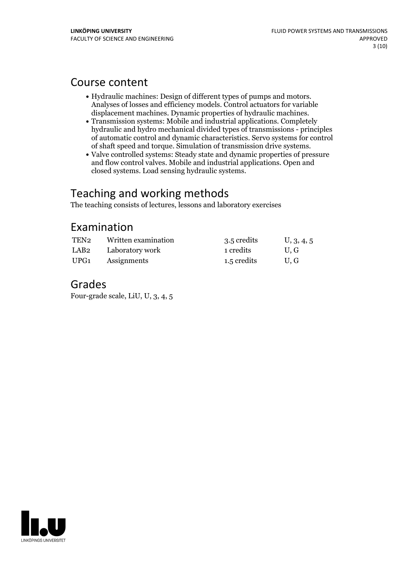### Course content

- Hydraulic machines: Design of different types of pumps and motors. Analyses of losses and efficiency models. Control actuators for variable
- $\bullet$  Transmission systems: Mobile and industrial applications. Completely hydraulic and hydro mechanical divided types of transmissions - principles of automatic control and dynamic characteristics. Servo systems for control
- Valve controlled systems: Steady state and dynamic properties of pressure and flow control valves. Mobile and industrial applications. Open and closed systems. Load sensing hydraulic systems.

### Teaching and working methods

The teaching consists of lectures, lessons and laboratory exercises

### Examination

| TEN2 | Written examination | 3.5 credits | U, 3, 4, 5 |
|------|---------------------|-------------|------------|
| LAB2 | Laboratory work     | 1 credits   | U.G        |
| UPG1 | Assignments         | 1.5 credits | U.G        |

### Grades

Four-grade scale, LiU, U, 3, 4, 5

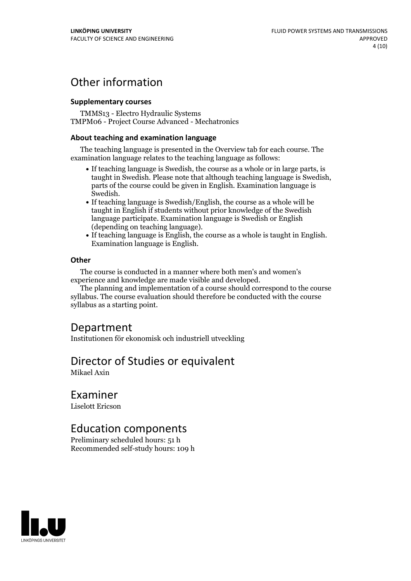### Other information

#### **Supplementarycourses**

TMMS13 - Electro Hydraulic Systems TMPM06 - Project Course Advanced - Mechatronics

#### **About teaching and examination language**

The teaching language is presented in the Overview tab for each course. The examination language relates to the teaching language as follows:

- If teaching language is Swedish, the course as a whole or in large parts, is taught in Swedish. Please note that although teaching language is Swedish, parts of the course could be given in English. Examination language is
- $\bullet$  If teaching language is Swedish/English, the course as a whole will be taught in English if students without prior knowledge of the Swedish language participate. Examination language is Swedish or English
- $\bullet$  If teaching language is English, the course as a whole is taught in English. Examination language is English.

#### **Other**

The course is conducted in a manner where both men's and women's

The planning and implementation of a course should correspond to the course syllabus. The course evaluation should therefore be conducted with the course syllabus as a starting point.

### Department

Institutionen för ekonomisk och industriell utveckling

### Director of Studies or equivalent

Mikael Axin

### Examiner

Liselott Ericson

### Education components

Preliminary scheduled hours: 51 h Recommended self-study hours: 109 h

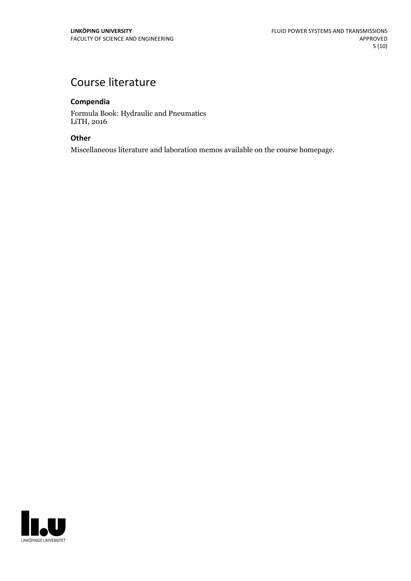### Course literature

#### **Compendia**

Formula Book: Hydraulic and Pneumatics LiTH, 2016

#### **Other**

Miscellaneous literature and laboration memos available on the course homepage.

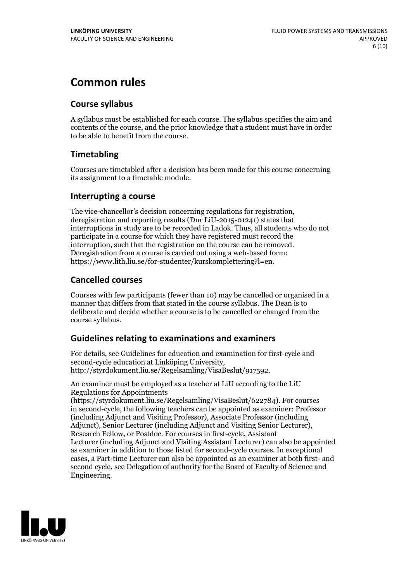### **Common rules**

#### **Course syllabus**

A syllabus must be established for each course. The syllabus specifies the aim and contents of the course, and the prior knowledge that a student must have in order to be able to benefit from the course.

#### **Timetabling**

Courses are timetabled after a decision has been made for this course concerning its assignment to a timetable module.

#### **Interrupting a course**

The vice-chancellor's decision concerning regulations for registration, deregistration and reporting results (Dnr LiU-2015-01241) states that interruptions in study are to be recorded in Ladok. Thus, all students who do not participate in a course for which they have registered must record the interruption, such that the registration on the course can be removed. Deregistration from <sup>a</sup> course is carried outusing <sup>a</sup> web-based form: https://www.lith.liu.se/for-studenter/kurskomplettering?l=en.

#### **Cancelled courses**

Courses with few participants (fewer than 10) may be cancelled or organised in a manner that differs from that stated in the course syllabus. The Dean is to deliberate and decide whether a course is to be cancelled or changed from the course syllabus.

#### **Guidelines relatingto examinations and examiners**

For details, see Guidelines for education and examination for first-cycle and second-cycle education at Linköping University, http://styrdokument.liu.se/Regelsamling/VisaBeslut/917592.

An examiner must be employed as a teacher at LiU according to the LiU Regulations for Appointments

(https://styrdokument.liu.se/Regelsamling/VisaBeslut/622784). For courses in second-cycle, the following teachers can be appointed as examiner: Professor (including Adjunct and Visiting Professor), Associate Professor (including Adjunct), Senior Lecturer (including Adjunct and Visiting Senior Lecturer), Research Fellow, or Postdoc. For courses in first-cycle, Assistant Lecturer (including Adjunct and Visiting Assistant Lecturer) can also be appointed as examiner in addition to those listed for second-cycle courses. In exceptional cases, a Part-time Lecturer can also be appointed as an examiner at both first- and second cycle, see Delegation of authority for the Board of Faculty of Science and Engineering.

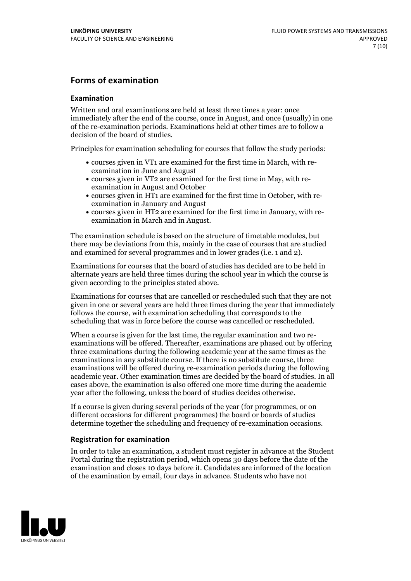#### **Forms of examination**

#### **Examination**

Written and oral examinations are held at least three times a year: once immediately after the end of the course, once in August, and once (usually) in one of the re-examination periods. Examinations held at other times are to follow a decision of the board of studies.

Principles for examination scheduling for courses that follow the study periods:

- courses given in VT1 are examined for the first time in March, with re-examination in June and August
- courses given in VT2 are examined for the first time in May, with re-examination in August and October
- courses given in HT1 are examined for the first time in October, with re-examination in January and August
- courses given in HT2 are examined for the first time in January, with re-examination in March and in August.

The examination schedule is based on the structure of timetable modules, but there may be deviations from this, mainly in the case of courses that are studied and examined for several programmes and in lower grades (i.e. 1 and 2).

Examinations for courses that the board of studies has decided are to be held in alternate years are held three times during the school year in which the course is given according to the principles stated above.

Examinations for courses that are cancelled orrescheduled such that they are not given in one or several years are held three times during the year that immediately follows the course, with examination scheduling that corresponds to the scheduling that was in force before the course was cancelled or rescheduled.

When a course is given for the last time, the regular examination and two re-<br>examinations will be offered. Thereafter, examinations are phased out by offering three examinations during the following academic year at the same times as the examinations in any substitute course. If there is no substitute course, three examinations will be offered during re-examination periods during the following academic year. Other examination times are decided by the board of studies. In all cases above, the examination is also offered one more time during the academic year after the following, unless the board of studies decides otherwise.

If a course is given during several periods of the year (for programmes, or on different occasions for different programmes) the board or boards of studies determine together the scheduling and frequency of re-examination occasions.

#### **Registration for examination**

In order to take an examination, a student must register in advance at the Student Portal during the registration period, which opens 30 days before the date of the examination and closes 10 days before it. Candidates are informed of the location of the examination by email, four days in advance. Students who have not

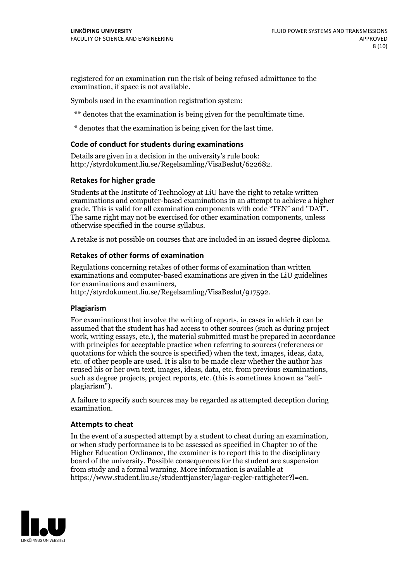registered for an examination run the risk of being refused admittance to the examination, if space is not available.

Symbols used in the examination registration system:

\*\* denotes that the examination is being given for the penultimate time.

\* denotes that the examination is being given for the last time.

#### **Code of conduct for students during examinations**

Details are given in a decision in the university's rule book: http://styrdokument.liu.se/Regelsamling/VisaBeslut/622682.

#### **Retakes for higher grade**

Students at the Institute of Technology at LiU have the right to retake written examinations and computer-based examinations in an attempt to achieve a higher grade. This is valid for all examination components with code "TEN" and "DAT". The same right may not be exercised for other examination components, unless otherwise specified in the course syllabus.

A retake is not possible on courses that are included in an issued degree diploma.

#### **Retakes of other forms of examination**

Regulations concerning retakes of other forms of examination than written examinations and computer-based examinations are given in the LiU guidelines

http://styrdokument.liu.se/Regelsamling/VisaBeslut/917592.

#### **Plagiarism**

For examinations that involve the writing of reports, in cases in which it can be assumed that the student has had access to other sources (such as during project work, writing essays, etc.), the material submitted must be prepared in accordance with principles for acceptable practice when referring to sources (references or quotations for which the source is specified) when the text, images, ideas, data,  $\vec{e}$  etc. of other people are used. It is also to be made clear whether the author has reused his or her own text, images, ideas, data, etc. from previous examinations, such as degree projects, project reports, etc. (this is sometimes known as "self- plagiarism").

A failure to specify such sources may be regarded as attempted deception during examination.

#### **Attempts to cheat**

In the event of <sup>a</sup> suspected attempt by <sup>a</sup> student to cheat during an examination, or when study performance is to be assessed as specified in Chapter <sup>10</sup> of the Higher Education Ordinance, the examiner is to report this to the disciplinary board of the university. Possible consequences for the student are suspension from study and a formal warning. More information is available at https://www.student.liu.se/studenttjanster/lagar-regler-rattigheter?l=en.

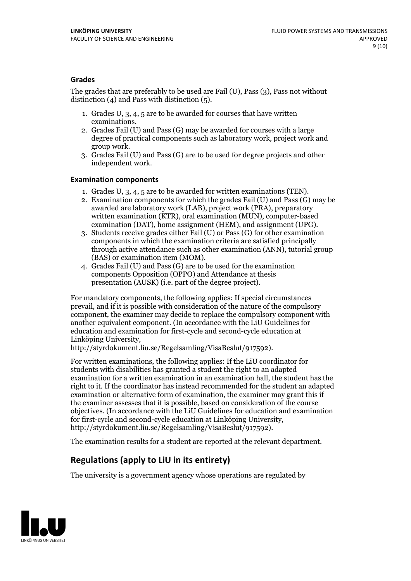#### **Grades**

The grades that are preferably to be used are Fail (U), Pass (3), Pass not without distinction  $(4)$  and Pass with distinction  $(5)$ .

- 1. Grades U, 3, 4, 5 are to be awarded for courses that have written
- examinations. 2. Grades Fail (U) and Pass (G) may be awarded for courses with <sup>a</sup> large degree of practical components such as laboratory work, project work and group work. 3. Grades Fail (U) and Pass (G) are to be used for degree projects and other
- independent work.

#### **Examination components**

- 
- 1. Grades U, 3, 4, <sup>5</sup> are to be awarded for written examinations (TEN). 2. Examination components for which the grades Fail (U) and Pass (G) may be awarded are laboratory work (LAB), project work (PRA), preparatory written examination (KTR), oral examination (MUN), computer-based
- examination (DAT), home assignment (HEM), and assignment (UPG). 3. Students receive grades either Fail (U) or Pass (G) for other examination components in which the examination criteria are satisfied principally through active attendance such as other examination (ANN), tutorial group
- (BAS) or examination item (MOM). 4. Grades Fail (U) and Pass (G) are to be used for the examination components Opposition (OPPO) and Attendance at thesis presentation (AUSK) (i.e. part of the degree project).

For mandatory components, the following applies: If special circumstances prevail, and if it is possible with consideration of the nature of the compulsory component, the examiner may decide to replace the compulsory component with another equivalent component. (In accordance with the LiU Guidelines for education and examination for first-cycle and second-cycle education at Linköping University, http://styrdokument.liu.se/Regelsamling/VisaBeslut/917592).

For written examinations, the following applies: If the LiU coordinator for students with disabilities has granted a student the right to an adapted examination for a written examination in an examination hall, the student has the right to it. If the coordinator has instead recommended for the student an adapted examination or alternative form of examination, the examiner may grant this if the examiner assesses that it is possible, based on consideration of the course objectives. (In accordance with the LiU Guidelines for education and examination for first-cycle and second-cycle education at Linköping University, http://styrdokument.liu.se/Regelsamling/VisaBeslut/917592).

The examination results for a student are reported at the relevant department.

### **Regulations (applyto LiU in its entirety)**

The university is a government agency whose operations are regulated by